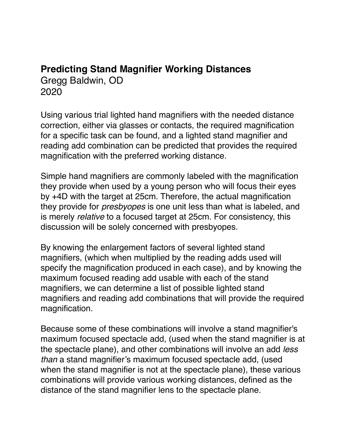## **Predicting Stand Magnifier Working Distances** Gregg Baldwin, OD 2020

Using various trial lighted hand magnifiers with the needed distance correction, either via glasses or contacts, the required magnification for a specific task can be found, and a lighted stand magnifier and reading add combination can be predicted that provides the required magnification with the preferred working distance.

Simple hand magnifiers are commonly labeled with the magnification they provide when used by a young person who will focus their eyes by +4D with the target at 25cm. Therefore, the actual magnification they provide for *presbyopes* is one unit less than what is labeled, and is merely *relative* to a focused target at 25cm. For consistency, this discussion will be solely concerned with presbyopes.

By knowing the enlargement factors of several lighted stand magnifiers, (which when multiplied by the reading adds used will specify the magnification produced in each case), and by knowing the maximum focused reading add usable with each of the stand magnifiers, we can determine a list of possible lighted stand magnifiers and reading add combinations that will provide the required magnification.

Because some of these combinations will involve a stand magnifier's maximum focused spectacle add, (used when the stand magnifier is at the spectacle plane), and other combinations will involve an add *less than* a stand magnifier's maximum focused spectacle add, (used when the stand magnifier is not at the spectacle plane), these various combinations will provide various working distances, defined as the distance of the stand magnifier lens to the spectacle plane.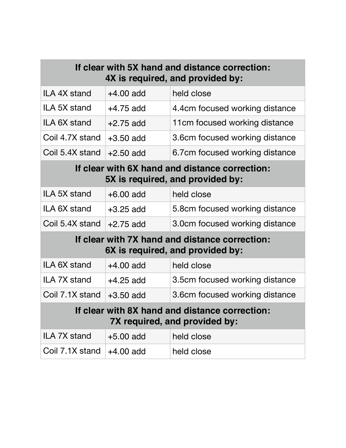| If clear with 5X hand and distance correction:<br>4X is required, and provided by: |             |                                |  |  |
|------------------------------------------------------------------------------------|-------------|--------------------------------|--|--|
| ILA 4X stand                                                                       | $+4.00$ add | held close                     |  |  |
| ILA 5X stand                                                                       | $+4.75$ add | 4.4cm focused working distance |  |  |
| ILA 6X stand                                                                       | $+2.75$ add | 11cm focused working distance  |  |  |
| Coil 4.7X stand                                                                    | $+3.50$ add | 3.6cm focused working distance |  |  |
| Coil 5.4X stand                                                                    | $+2.50$ add | 6.7cm focused working distance |  |  |
| If clear with 6X hand and distance correction:<br>5X is required, and provided by: |             |                                |  |  |
| ILA 5X stand                                                                       | $+6.00$ add | held close                     |  |  |
| ILA 6X stand                                                                       | $+3.25$ add | 5.8cm focused working distance |  |  |
| Coil 5.4X stand                                                                    | $+2.75$ add | 3.0cm focused working distance |  |  |
| If clear with 7X hand and distance correction:<br>6X is required, and provided by: |             |                                |  |  |
| ILA 6X stand                                                                       | $+4.00$ add | held close                     |  |  |
| ILA 7X stand                                                                       | $+4.25$ add | 3.5cm focused working distance |  |  |
| Coil 7.1X stand                                                                    | $+3.50$ add | 3.6cm focused working distance |  |  |
| If clear with 8X hand and distance correction:<br>7X required, and provided by:    |             |                                |  |  |
| ILA 7X stand                                                                       | $+5.00$ add | held close                     |  |  |
| Coil 7.1X stand                                                                    | $+4.00$ add | held close                     |  |  |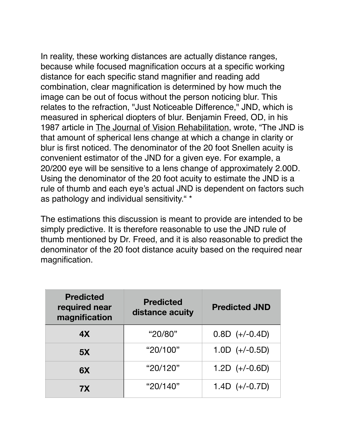In reality, these working distances are actually distance ranges, because while focused magnification occurs at a specific working distance for each specific stand magnifier and reading add combination, clear magnification is determined by how much the image can be out of focus without the person noticing blur. This relates to the refraction, "Just Noticeable Difference," JND, which is measured in spherical diopters of blur. Benjamin Freed, OD, in his 1987 article in The Journal of Vision Rehabilitation, wrote, "The JND is that amount of spherical lens change at which a change in clarity or blur is first noticed. The denominator of the 20 foot Snellen acuity is convenient estimator of the JND for a given eye. For example, a 20/200 eye will be sensitive to a lens change of approximately 2.00D. Using the denominator of the 20 foot acuity to estimate the JND is a rule of thumb and each eye's actual JND is dependent on factors such as pathology and individual sensitivity." \*

The estimations this discussion is meant to provide are intended to be simply predictive. It is therefore reasonable to use the JND rule of thumb mentioned by Dr. Freed, and it is also reasonable to predict the denominator of the 20 foot distance acuity based on the required near magnification.

| <b>Predicted</b><br>required near<br>magnification | <b>Predicted</b><br>distance acuity | <b>Predicted JND</b> |
|----------------------------------------------------|-------------------------------------|----------------------|
| 4X                                                 | "20/80"                             | $0.8D (+/-0.4D)$     |
| 5X                                                 | "20/100"                            | $1.0D (+/-0.5D)$     |
| 6X                                                 | "20/120"                            | $1.2D (+/-0.6D)$     |
| 7X                                                 | "20/140"                            | $1.4D (+/-0.7D)$     |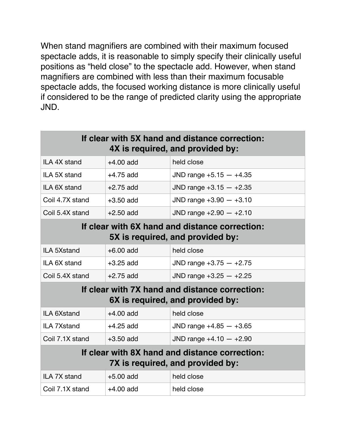When stand magnifiers are combined with their maximum focused spectacle adds, it is reasonable to simply specify their clinically useful positions as "held close" to the spectacle add. However, when stand magnifiers are combined with less than their maximum focusable spectacle adds, the focused working distance is more clinically useful if considered to be the range of predicted clarity using the appropriate JND.

| If clear with 5X hand and distance correction:<br>4X is required, and provided by: |             |                           |  |  |  |
|------------------------------------------------------------------------------------|-------------|---------------------------|--|--|--|
| ILA 4X stand                                                                       | $+4.00$ add | held close                |  |  |  |
| ILA 5X stand                                                                       | $+4.75$ add | JND range $+5.15 - +4.35$ |  |  |  |
| ILA 6X stand                                                                       | $+2.75$ add | JND range $+3.15 - +2.35$ |  |  |  |
| Coil 4.7X stand                                                                    | $+3.50$ add | JND range $+3.90 - +3.10$ |  |  |  |
| Coil 5.4X stand                                                                    | $+2.50$ add | JND range $+2.90 - +2.10$ |  |  |  |
| If clear with 6X hand and distance correction:<br>5X is required, and provided by: |             |                           |  |  |  |
| <b>ILA 5Xstand</b>                                                                 | $+6.00$ add | held close                |  |  |  |
| ILA 6X stand                                                                       | $+3.25$ add | JND range $+3.75 - +2.75$ |  |  |  |
| Coil 5.4X stand                                                                    | $+2.75$ add | JND range $+3.25 - +2.25$ |  |  |  |
| If clear with 7X hand and distance correction:<br>6X is required, and provided by: |             |                           |  |  |  |
| <b>ILA 6Xstand</b>                                                                 | $+4.00$ add | held close                |  |  |  |
| <b>ILA 7Xstand</b>                                                                 | $+4.25$ add | JND range $+4.85 - +3.65$ |  |  |  |
| Coil 7.1X stand                                                                    | $+3.50$ add | JND range $+4.10 - +2.90$ |  |  |  |
| If clear with 8X hand and distance correction:<br>7X is required, and provided by: |             |                           |  |  |  |
| ILA 7X stand                                                                       | $+5.00$ add | held close                |  |  |  |
| Coil 7.1X stand                                                                    | $+4.00$ add | held close                |  |  |  |